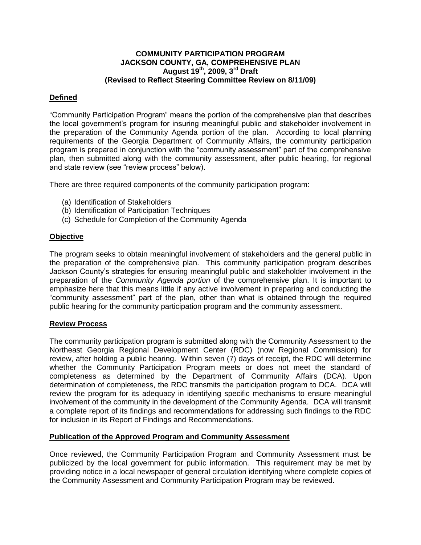## **COMMUNITY PARTICIPATION PROGRAM JACKSON COUNTY, GA, COMPREHENSIVE PLAN August 19 th , 2009, 3 rd Draft (Revised to Reflect Steering Committee Review on 8/11/09)**

## **Defined**

"Community Participation Program" means the portion of the comprehensive plan that describes the local government's program for insuring meaningful public and stakeholder involvement in the preparation of the Community Agenda portion of the plan. According to local planning requirements of the Georgia Department of Community Affairs, the community participation program is prepared in conjunction with the "community assessment" part of the comprehensive plan, then submitted along with the community assessment, after public hearing, for regional and state review (see "review process" below).

There are three required components of the community participation program:

- (a) Identification of Stakeholders
- (b) Identification of Participation Techniques
- (c) Schedule for Completion of the Community Agenda

## **Objective**

The program seeks to obtain meaningful involvement of stakeholders and the general public in the preparation of the comprehensive plan. This community participation program describes Jackson County's strategies for ensuring meaningful public and stakeholder involvement in the preparation of the *Community Agenda portion* of the comprehensive plan. It is important to emphasize here that this means little if any active involvement in preparing and conducting the "community assessment" part of the plan, other than what is obtained through the required public hearing for the community participation program and the community assessment.

#### **Review Process**

The community participation program is submitted along with the Community Assessment to the Northeast Georgia Regional Development Center (RDC) (now Regional Commission) for review, after holding a public hearing. Within seven (7) days of receipt, the RDC will determine whether the Community Participation Program meets or does not meet the standard of completeness as determined by the Department of Community Affairs (DCA). Upon determination of completeness, the RDC transmits the participation program to DCA. DCA will review the program for its adequacy in identifying specific mechanisms to ensure meaningful involvement of the community in the development of the Community Agenda. DCA will transmit a complete report of its findings and recommendations for addressing such findings to the RDC for inclusion in its Report of Findings and Recommendations.

#### **Publication of the Approved Program and Community Assessment**

Once reviewed, the Community Participation Program and Community Assessment must be publicized by the local government for public information. This requirement may be met by providing notice in a local newspaper of general circulation identifying where complete copies of the Community Assessment and Community Participation Program may be reviewed.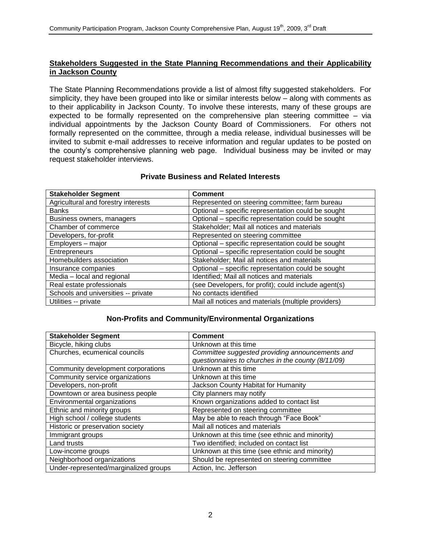## **Stakeholders Suggested in the State Planning Recommendations and their Applicability in Jackson County**

The State Planning Recommendations provide a list of almost fifty suggested stakeholders. For simplicity, they have been grouped into like or similar interests below – along with comments as to their applicability in Jackson County. To involve these interests, many of these groups are expected to be formally represented on the comprehensive plan steering committee – via individual appointments by the Jackson County Board of Commissioners. For others not formally represented on the committee, through a media release, individual businesses will be invited to submit e-mail addresses to receive information and regular updates to be posted on the county's comprehensive planning web page. Individual business may be invited or may request stakeholder interviews.

| <b>Stakeholder Segment</b>          | <b>Comment</b>                                       |  |
|-------------------------------------|------------------------------------------------------|--|
| Agricultural and forestry interests | Represented on steering committee; farm bureau       |  |
| <b>Banks</b>                        | Optional - specific representation could be sought   |  |
| Business owners, managers           | Optional - specific representation could be sought   |  |
| Chamber of commerce                 | Stakeholder; Mail all notices and materials          |  |
| Developers, for-profit              | Represented on steering committee                    |  |
| Employers - major                   | Optional - specific representation could be sought   |  |
| Entrepreneurs                       | Optional - specific representation could be sought   |  |
| Homebuilders association            | Stakeholder; Mail all notices and materials          |  |
| Insurance companies                 | Optional - specific representation could be sought   |  |
| Media - local and regional          | Identified; Mail all notices and materials           |  |
| Real estate professionals           | (see Developers, for profit); could include agent(s) |  |
| Schools and universities -- private | No contacts identified                               |  |
| Utilities -- private                | Mail all notices and materials (multiple providers)  |  |

#### **Non-Profits and Community/Environmental Organizations**

| <b>Stakeholder Segment</b>            | <b>Comment</b>                                     |  |
|---------------------------------------|----------------------------------------------------|--|
| Bicycle, hiking clubs                 | Unknown at this time                               |  |
| Churches, ecumenical councils         | Committee suggested providing announcements and    |  |
|                                       | questionnaires to churches in the county (8/11/09) |  |
| Community development corporations    | Unknown at this time                               |  |
| Community service organizations       | Unknown at this time                               |  |
| Developers, non-profit                | Jackson County Habitat for Humanity                |  |
| Downtown or area business people      | City planners may notify                           |  |
| Environmental organizations           | Known organizations added to contact list          |  |
| Ethnic and minority groups            | Represented on steering committee                  |  |
| High school / college students        | May be able to reach through "Face Book"           |  |
| Historic or preservation society      | Mail all notices and materials                     |  |
| Immigrant groups                      | Unknown at this time (see ethnic and minority)     |  |
| Land trusts                           | Two identified; included on contact list           |  |
| Low-income groups                     | Unknown at this time (see ethnic and minority)     |  |
| Neighborhood organizations            | Should be represented on steering committee        |  |
| Under-represented/marginalized groups | Action, Inc. Jefferson                             |  |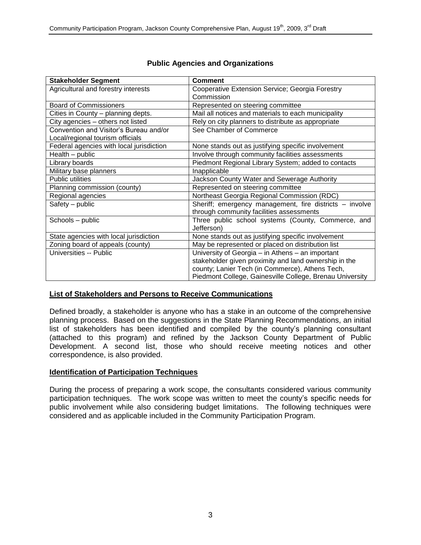| <b>Stakeholder Segment</b>               | <b>Comment</b>                                           |  |  |
|------------------------------------------|----------------------------------------------------------|--|--|
| Agricultural and forestry interests      | Cooperative Extension Service; Georgia Forestry          |  |  |
|                                          | Commission                                               |  |  |
| <b>Board of Commissioners</b>            | Represented on steering committee                        |  |  |
| Cities in County - planning depts.       | Mail all notices and materials to each municipality      |  |  |
| City agencies - others not listed        | Rely on city planners to distribute as appropriate       |  |  |
| Convention and Visitor's Bureau and/or   | See Chamber of Commerce                                  |  |  |
| Local/regional tourism officials         |                                                          |  |  |
| Federal agencies with local jurisdiction | None stands out as justifying specific involvement       |  |  |
| Health - public                          | Involve through community facilities assessments         |  |  |
| Library boards                           | Piedmont Regional Library System; added to contacts      |  |  |
| Military base planners                   | Inapplicable                                             |  |  |
| Public utilities                         | Jackson County Water and Sewerage Authority              |  |  |
| Planning commission (county)             | Represented on steering committee                        |  |  |
| Regional agencies                        | Northeast Georgia Regional Commission (RDC)              |  |  |
| Safety - public                          | Sheriff; emergency management, fire districts - involve  |  |  |
|                                          | through community facilities assessments                 |  |  |
| Schools - public                         | Three public school systems (County, Commerce, and       |  |  |
|                                          | Jefferson)                                               |  |  |
| State agencies with local jurisdiction   | None stands out as justifying specific involvement       |  |  |
| Zoning board of appeals (county)         | May be represented or placed on distribution list        |  |  |
| Universities -- Public                   | University of Georgia - in Athens - an important         |  |  |
|                                          | stakeholder given proximity and land ownership in the    |  |  |
|                                          | county; Lanier Tech (in Commerce), Athens Tech,          |  |  |
|                                          | Piedmont College, Gainesville College, Brenau University |  |  |

## **Public Agencies and Organizations**

## **List of Stakeholders and Persons to Receive Communications**

Defined broadly, a stakeholder is anyone who has a stake in an outcome of the comprehensive planning process. Based on the suggestions in the State Planning Recommendations, an initial list of stakeholders has been identified and compiled by the county's planning consultant (attached to this program) and refined by the Jackson County Department of Public Development. A second list, those who should receive meeting notices and other correspondence, is also provided.

## **Identification of Participation Techniques**

During the process of preparing a work scope, the consultants considered various community participation techniques. The work scope was written to meet the county's specific needs for public involvement while also considering budget limitations. The following techniques were considered and as applicable included in the Community Participation Program.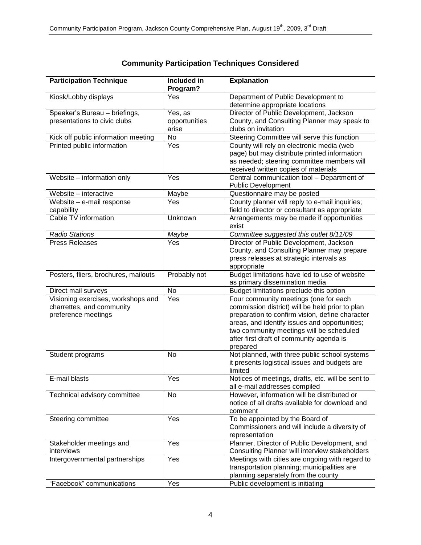| <b>Participation Technique</b>                                                         | Included in<br>Program?           | <b>Explanation</b>                                                                                                                                                                                                                                                                               |  |
|----------------------------------------------------------------------------------------|-----------------------------------|--------------------------------------------------------------------------------------------------------------------------------------------------------------------------------------------------------------------------------------------------------------------------------------------------|--|
| Kiosk/Lobby displays                                                                   | Yes                               | Department of Public Development to<br>determine appropriate locations                                                                                                                                                                                                                           |  |
| Speaker's Bureau - briefings,<br>presentations to civic clubs                          | Yes, as<br>opportunities<br>arise | Director of Public Development, Jackson<br>County, and Consulting Planner may speak to<br>clubs on invitation                                                                                                                                                                                    |  |
| Kick off public information meeting                                                    | <b>No</b>                         | Steering Committee will serve this function                                                                                                                                                                                                                                                      |  |
| Printed public information                                                             | Yes                               | County will rely on electronic media (web<br>page) but may distribute printed information<br>as needed; steering committee members will<br>received written copies of materials                                                                                                                  |  |
| Website - information only                                                             | Yes                               | Central communication tool - Department of<br><b>Public Development</b>                                                                                                                                                                                                                          |  |
| Website - interactive                                                                  | Maybe                             | Questionnaire may be posted                                                                                                                                                                                                                                                                      |  |
| Website - e-mail response<br>capability                                                | Yes                               | County planner will reply to e-mail inquiries;<br>field to director or consultant as appropriate                                                                                                                                                                                                 |  |
| Cable TV information                                                                   | Unknown                           | Arrangements may be made if opportunities<br>exist                                                                                                                                                                                                                                               |  |
| <b>Radio Stations</b>                                                                  | Maybe                             | Committee suggested this outlet 8/11/09                                                                                                                                                                                                                                                          |  |
| <b>Press Releases</b>                                                                  | Yes                               | Director of Public Development, Jackson<br>County, and Consulting Planner may prepare<br>press releases at strategic intervals as<br>appropriate                                                                                                                                                 |  |
| Posters, fliers, brochures, mailouts                                                   | Probably not                      | Budget limitations have led to use of website<br>as primary dissemination media                                                                                                                                                                                                                  |  |
| Direct mail surveys                                                                    | <b>No</b>                         | Budget limitations preclude this option                                                                                                                                                                                                                                                          |  |
| Visioning exercises, workshops and<br>charrettes, and community<br>preference meetings | Yes                               | Four community meetings (one for each<br>commission district) will be held prior to plan<br>preparation to confirm vision, define character<br>areas, and identify issues and opportunities;<br>two community meetings will be scheduled<br>after first draft of community agenda is<br>prepared |  |
| Student programs                                                                       | No                                | Not planned, with three public school systems<br>it presents logistical issues and budgets are<br>limited                                                                                                                                                                                        |  |
| E-mail blasts                                                                          | Yes                               | Notices of meetings, drafts, etc. will be sent to<br>all e-mail addresses compiled                                                                                                                                                                                                               |  |
| Technical advisory committee                                                           | No                                | However, information will be distributed or<br>notice of all drafts available for download and<br>comment                                                                                                                                                                                        |  |
| Steering committee                                                                     | Yes                               | To be appointed by the Board of<br>Commissioners and will include a diversity of<br>representation                                                                                                                                                                                               |  |
| Stakeholder meetings and<br>interviews                                                 | Yes                               | Planner, Director of Public Development, and<br>Consulting Planner will interview stakeholders                                                                                                                                                                                                   |  |
| Intergovernmental partnerships                                                         | Yes                               | Meetings with cities are ongoing with regard to<br>transportation planning; municipalities are<br>planning separately from the county                                                                                                                                                            |  |
| "Facebook" communications                                                              | Yes                               | Public development is initiating                                                                                                                                                                                                                                                                 |  |

# **Community Participation Techniques Considered**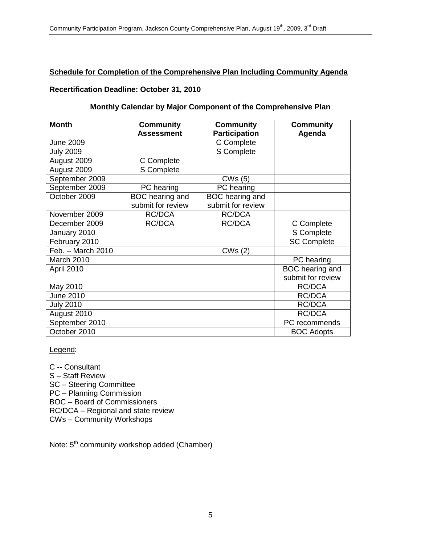## **Schedule for Completion of the Comprehensive Plan Including Community Agenda**

## **Recertification Deadline: October 31, 2010**

## **Monthly Calendar by Major Component of the Comprehensive Plan**

| <b>Month</b>      | <b>Community</b>  | <b>Community</b>     | <b>Community</b>   |
|-------------------|-------------------|----------------------|--------------------|
|                   | <b>Assessment</b> | <b>Participation</b> | Agenda             |
| <b>June 2009</b>  |                   | C Complete           |                    |
| <b>July 2009</b>  |                   | S Complete           |                    |
| August 2009       | C Complete        |                      |                    |
| August 2009       | S Complete        |                      |                    |
| September 2009    |                   | CWs(5)               |                    |
| September 2009    | PC hearing        | PC hearing           |                    |
| October 2009      | BOC hearing and   | BOC hearing and      |                    |
|                   | submit for review | submit for review    |                    |
| November 2009     | RC/DCA            | RC/DCA               |                    |
| December 2009     | <b>RC/DCA</b>     | <b>RC/DCA</b>        | C Complete         |
| January 2010      |                   |                      | S Complete         |
| February 2010     |                   |                      | <b>SC Complete</b> |
| Feb. - March 2010 |                   | CWs (2)              |                    |
| March 2010        |                   |                      | PC hearing         |
| April 2010        |                   |                      | BOC hearing and    |
|                   |                   |                      | submit for review  |
| May 2010          |                   |                      | RC/DCA             |
| <b>June 2010</b>  |                   |                      | <b>RC/DCA</b>      |
| <b>July 2010</b>  |                   |                      | RC/DCA             |
| August 2010       |                   |                      | RC/DCA             |
| September 2010    |                   |                      | PC recommends      |
| October 2010      |                   |                      | <b>BOC Adopts</b>  |

Legend:

C -- Consultant S – Staff Review SC – Steering Committee PC – Planning Commission BOC – Board of Commissioners RC/DCA – Regional and state review CWs – Community Workshops

Note: 5<sup>th</sup> community workshop added (Chamber)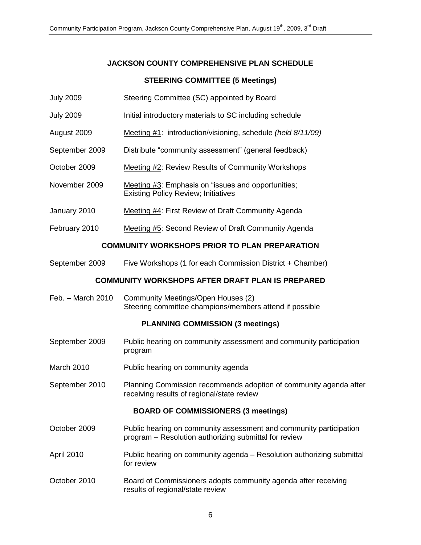# **JACKSON COUNTY COMPREHENSIVE PLAN SCHEDULE**

## **STEERING COMMITTEE (5 Meetings)**

- July 2009 Steering Committee (SC) appointed by Board
- July 2009 Initial introductory materials to SC including schedule
- August 2009 Meeting #1: introduction/visioning, schedule *(held 8/11/09)*
- September 2009 Distribute "community assessment" (general feedback)
- October 2009 Meeting #2: Review Results of Community Workshops
- November 2009 Meeting #3: Emphasis on "issues and opportunities; Existing Policy Review; Initiatives
- January 2010 Meeting #4: First Review of Draft Community Agenda
- February 2010 Meeting #5: Second Review of Draft Community Agenda

## **COMMUNITY WORKSHOPS PRIOR TO PLAN PREPARATION**

September 2009 Five Workshops (1 for each Commission District + Chamber)

## **COMMUNITY WORKSHOPS AFTER DRAFT PLAN IS PREPARED**

Feb. – March 2010 Community Meetings/Open Houses (2) Steering committee champions/members attend if possible

#### **PLANNING COMMISSION (3 meetings)**

- September 2009 Public hearing on community assessment and community participation program
- March 2010 Public hearing on community agenda
- September 2010 Planning Commission recommends adoption of community agenda after receiving results of regional/state review

## **BOARD OF COMMISSIONERS (3 meetings)**

- October 2009 Public hearing on community assessment and community participation program – Resolution authorizing submittal for review
- April 2010 Public hearing on community agenda Resolution authorizing submittal for review
- October 2010 Board of Commissioners adopts community agenda after receiving results of regional/state review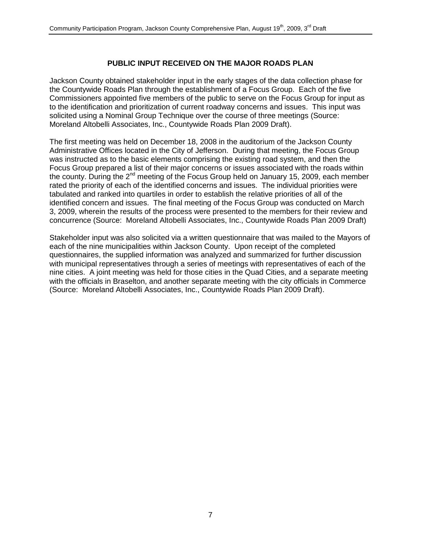## **PUBLIC INPUT RECEIVED ON THE MAJOR ROADS PLAN**

Jackson County obtained stakeholder input in the early stages of the data collection phase for the Countywide Roads Plan through the establishment of a Focus Group. Each of the five Commissioners appointed five members of the public to serve on the Focus Group for input as to the identification and prioritization of current roadway concerns and issues. This input was solicited using a Nominal Group Technique over the course of three meetings (Source: Moreland Altobelli Associates, Inc., Countywide Roads Plan 2009 Draft).

The first meeting was held on December 18, 2008 in the auditorium of the Jackson County Administrative Offices located in the City of Jefferson. During that meeting, the Focus Group was instructed as to the basic elements comprising the existing road system, and then the Focus Group prepared a list of their major concerns or issues associated with the roads within the county. During the  $2^{nd}$  meeting of the Focus Group held on January 15, 2009, each member rated the priority of each of the identified concerns and issues. The individual priorities were tabulated and ranked into quartiles in order to establish the relative priorities of all of the identified concern and issues. The final meeting of the Focus Group was conducted on March 3, 2009, wherein the results of the process were presented to the members for their review and concurrence (Source: Moreland Altobelli Associates, Inc., Countywide Roads Plan 2009 Draft)

Stakeholder input was also solicited via a written questionnaire that was mailed to the Mayors of each of the nine municipalities within Jackson County. Upon receipt of the completed questionnaires, the supplied information was analyzed and summarized for further discussion with municipal representatives through a series of meetings with representatives of each of the nine cities. A joint meeting was held for those cities in the Quad Cities, and a separate meeting with the officials in Braselton, and another separate meeting with the city officials in Commerce (Source: Moreland Altobelli Associates, Inc., Countywide Roads Plan 2009 Draft).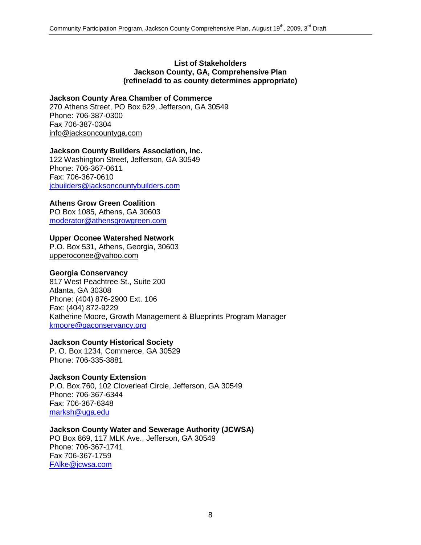#### **List of Stakeholders Jackson County, GA, Comprehensive Plan (refine/add to as county determines appropriate)**

## **Jackson County Area Chamber of Commerce**

270 Athens Street, PO Box 629, Jefferson, GA 30549 Phone: 706-387-0300 Fax 706-387-0304 [info@jacksoncountyga.com](mailto:info@jacksoncountyga.com)

## **Jackson County Builders Association, Inc.**

122 Washington Street, Jefferson, GA 30549 Phone: 706-367-0611 Fax: 706-367-0610 [jcbuilders@jacksoncountybuilders.com](mailto:jcbuilders@jacksoncountybuilders.com)

## **Athens Grow Green Coalition**

PO Box 1085, Athens, GA 30603 [moderator@athensgrowgreen.com](mailto:moderator@athensgrowgreen.com)

## **Upper Oconee Watershed Network**

P.O. Box 531, Athens, Georgia, 30603 [upperoconee@yahoo.com](mailto:upperoconee@yahoo.com)

#### **Georgia Conservancy**

817 West Peachtree St., Suite 200 Atlanta, GA 30308 Phone: (404) 876-2900 Ext. 106 Fax: (404) 872-9229 Katherine Moore, Growth Management & Blueprints Program Manager [kmoore@gaconservancy.org](mailto:kmoore@gaconservancy.org)

#### **Jackson County Historical Society**

P. O. Box 1234, Commerce, GA 30529 Phone: 706-335-3881

## **Jackson County Extension**

P.O. Box 760, 102 Cloverleaf Circle, Jefferson, GA 30549 Phone: 706-367-6344 Fax: 706-367-6348 [marksh@uga.edu](mailto:marksh@uga.edu)

## **Jackson County Water and Sewerage Authority (JCWSA)**

PO Box 869, 117 MLK Ave., Jefferson, GA 30549 Phone: 706-367-1741 Fax 706-367-1759 [FAlke@jcwsa.com](mailto:falke@jcwsa.com)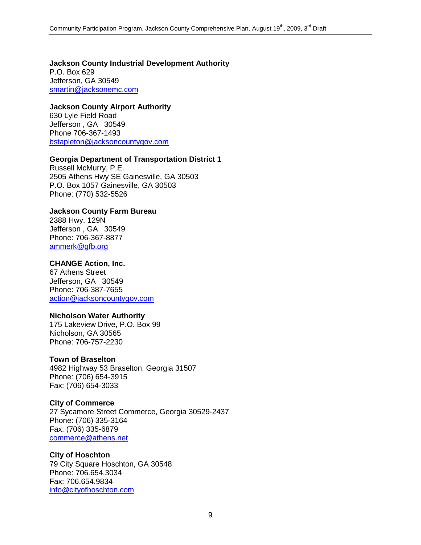**Jackson County Industrial Development Authority** P.O. Box 629 Jefferson, GA 30549 [smartin@jacksonemc.com](http://us.mc1802.mail.yahoo.com/mc/compose?to=smartin@jacksonemc.com)

## **Jackson County Airport Authority**

630 Lyle Field Road Jefferson , GA 30549 Phone 706-367-1493 [bstapleton@jacksoncountygov.com](http://us.mc1802.mail.yahoo.com/mc/compose?to=bstapleton@jacksoncountygov.com)

## **Georgia Department of Transportation District 1**

Russell McMurry, P.E. 2505 Athens Hwy SE Gainesville, GA 30503 P.O. Box 1057 Gainesville, GA 30503 Phone: (770) 532-5526

## **Jackson County Farm Bureau**

2388 Hwy. 129N Jefferson , GA 30549 Phone: 706-367-8877 [ammerk@gfb.org](http://us.mc1802.mail.yahoo.com/mc/compose?to=ammerk@gfb.org)

#### **CHANGE Action, Inc.**

67 Athens Street Jefferson, GA 30549 Phone: 706-387-7655 [action@jacksoncountygov.com](http://us.mc1802.mail.yahoo.com/mc/compose?to=action@jacksoncountygov.com)

#### **Nicholson Water Authority**

175 Lakeview Drive, P.O. Box 99 Nicholson, GA 30565 Phone: 706-757-2230

#### **Town of Braselton**

4982 Highway 53 Braselton, Georgia 31507 Phone: (706) 654-3915 Fax: (706) 654-3033

#### **City of Commerce**

27 Sycamore Street Commerce, Georgia 30529-2437 Phone: (706) 335-3164 Fax: (706) 335-6879 [commerce@athens.net](mailto:commerce@athens.net)

#### **City of Hoschton**

79 City Square Hoschton, GA 30548 Phone: 706.654.3034 Fax: 706.654.9834 [info@cityofhoschton.com](mailto:info@cityofhoschton.com)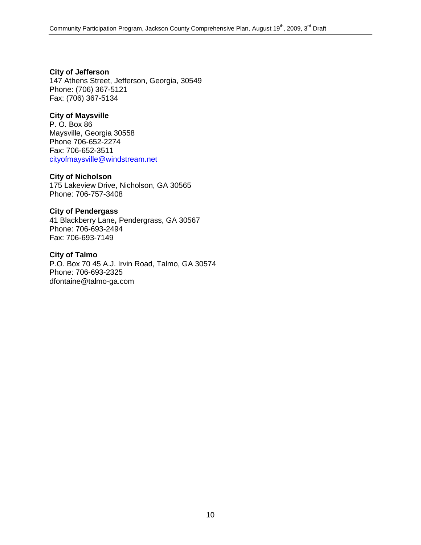**City of Jefferson** 147 Athens Street, Jefferson, Georgia, 30549 Phone: (706) 367-5121 Fax: (706) 367-5134

## **City of Maysville**

P. O. Box 86 Maysville, Georgia 30558 Phone 706-652-2274 Fax: 706-652-3511 [cityofmaysville@windstream.net](mailto:cityofmaysville@windstream.net)

#### **City of Nicholson**

175 Lakeview Drive, Nicholson, GA 30565 Phone: 706-757-3408

#### **City of Pendergass**

41 Blackberry Lane**,** Pendergrass, GA 30567 Phone: 706-693-2494 Fax: 706-693-7149

**City of Talmo** P.O. Box 70 45 A.J. Irvin Road, Talmo, GA 30574 Phone: 706-693-2325 [dfontaine@talmo-ga.com](mailto:dfontaine@talmo-ga.com)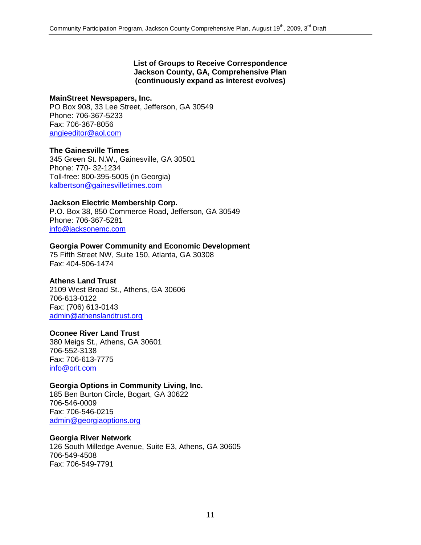#### **List of Groups to Receive Correspondence Jackson County, GA, Comprehensive Plan (continuously expand as interest evolves)**

#### **MainStreet Newspapers, Inc.**

PO Box 908, 33 Lee Street, Jefferson, GA 30549 Phone: 706-367-5233 Fax: 706-367-8056 [angieeditor@aol.com](http://us.mc1802.mail.yahoo.com/mc/compose?to=angieeditor@aol.com)

## **The Gainesville Times**

345 Green St. N.W., Gainesville, GA 30501 Phone: 770- 32-1234 Toll-free: 800-395-5005 (in Georgia) [kalbertson@gainesvilletimes.com](mailto:kalbertson@gainesvilletimes.com)

## **Jackson Electric Membership Corp.**

P.O. Box 38, 850 Commerce Road, Jefferson, GA 30549 Phone: 706-367-5281 [info@jacksonemc.com](mailto:info@jacksonemc.com)

## **Georgia Power Community and Economic Development**

75 Fifth Street NW, Suite 150, Atlanta, GA 30308 Fax: 404-506-1474

## **Athens Land Trust**

2109 West Broad St., Athens, GA 30606 706-613-0122 Fax: (706) 613-0143 [admin@athenslandtrust.org](mailto:admin@athenslandtrust.org)

#### **Oconee River Land Trust**

380 Meigs St., Athens, GA 30601 706-552-3138 Fax: 706-613-7775 [info@orlt.com](mailto:thompsonsteffney@bellsouth.net)

## **Georgia Options in Community Living, Inc.**

185 Ben Burton Circle, Bogart, GA 30622 706-546-0009 Fax: 706-546-0215 [admin@georgiaoptions.org](mailto:admin@georgiaoptions.org)

#### **Georgia River Network**

126 South Milledge Avenue, Suite E3, Athens, GA 30605 706-549-4508 Fax: 706-549-7791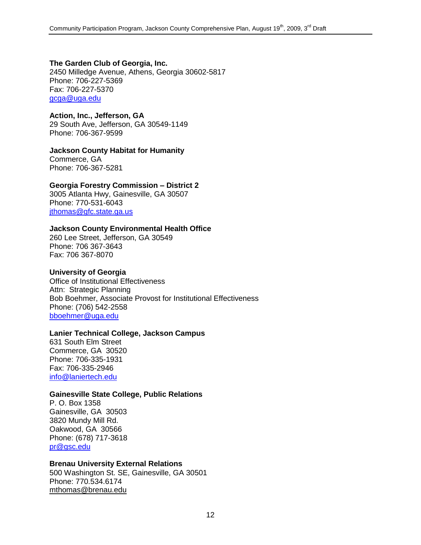## **The Garden Club of Georgia, Inc.**

2450 Milledge Avenue, Athens, Georgia 30602-5817 Phone: 706-227-5369 Fax: 706-227-5370 [gcga@uga.edu](mailto:gcga@uga.edu?subject=GCG_website_inquiry)

#### **Action, Inc., Jefferson, GA** 29 South Ave, Jefferson, GA 30549-1149 Phone: 706-367-9599

## **Jackson County Habitat for Humanity**

Commerce, GA Phone: 706-367-5281

# **Georgia Forestry Commission – District 2**

3005 Atlanta Hwy, Gainesville, GA 30507 Phone: 770-531-6043 [jthomas@gfc.state.ga.us](mailto:jthomas@gfc.state.ga.us)

## **Jackson County Environmental Health Office**

260 Lee Street, Jefferson, GA 30549 Phone: 706 367-3643 Fax: 706 367-8070

## **University of Georgia**

Office of Institutional Effectiveness Attn: Strategic Planning Bob Boehmer, Associate Provost for Institutional Effectiveness Phone: (706) 542-2558 [bboehmer@uga.edu](mailto:bboehmer@uga.edu)

## **Lanier Technical College, Jackson Campus**

631 South Elm Street Commerce, GA 30520 Phone: 706-335-1931 Fax: 706-335-2946 [info@laniertech.edu](mailto:info@laniertech.edu)

## **Gainesville State College, Public Relations**

P. O. Box 1358 Gainesville, GA 30503 3820 Mundy Mill Rd. Oakwood, GA 30566 Phone: (678) 717-3618 [pr@gsc.edu](mailto:pr@gsc.edu)

## **Brenau University External Relations**

500 Washington St. SE, Gainesville, GA 30501 Phone: 770.534.6174 mthomas@brenau.edu